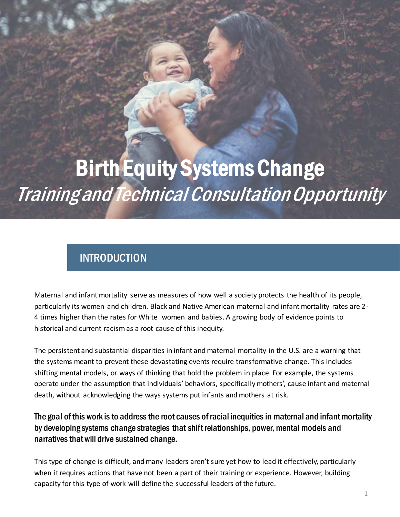# Birth Equity Systems Change Training and Technical Consultation Opportunity

# INTRODUCTION

Maternal and infant mortality serve as measures of how well a society protects the health of its people, particularly its women and children. Black and Native American maternal and infant mortality rates are 2- 4 times higher than the rates for White women and babies. A growing body of evidence points to historical and current racism as a root cause of this inequity.

The persistent and substantial disparities in infant and maternal mortality in the U.S. are a warning that the systems meant to prevent these devastating events require transformative change. This includes shifting mental models, or ways of thinking that hold the problem in place. For example, the systems operate under the assumption that individuals' behaviors, specifically mothers', cause infant and maternal death, without acknowledging the ways systems put infants and mothers at risk.

### The goal of this work is to address the root causes of racial inequities in maternal and infant mortality by developing systems change strategies that shift relationships, power, mental models and narratives that will drive sustained change.

This type of change is difficult, and many leaders aren't sure yet how to lead it effectively, particularly when it requires actions that have not been a part of their training or experience. However, building capacity for this type of work will define the successful leaders of the future.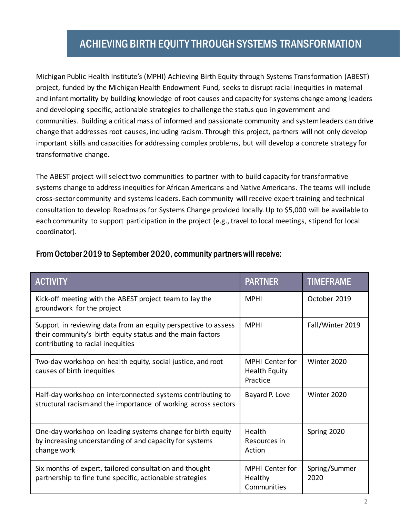## ACHIEVING BIRTH EQUITY THROUGH SYSTEMS TRANSFORMATION

Michigan Public Health Institute's (MPHI) Achieving Birth Equity through Systems Transformation (ABEST) project, funded by the Michigan Health Endowment Fund, seeks to disrupt racial inequities in maternal and infant mortality by building knowledge of root causes and capacity for systems change among leaders and developing specific, actionable strategies to challenge the status quo in government and communities. Building a critical mass of informed and passionate community and system leaders can drive change that addresses root causes, including racism. Through this project, partners will not only develop important skills and capacities for addressing complex problems, but will develop a concrete strategy for transformative change.

The ABEST project will select two communities to partner with to build capacity for transformative systems change to address inequities for African Americans and Native Americans. The teams will include cross-sector community and systems leaders. Each community will receive expert training and technical consultation to develop Roadmaps for Systems Change provided locally. Up to \$5,000 will be available to each community to support participation in the project (e.g., travel to local meetings, stipend for local coordinator).

| <b>ACTIVITY</b>                                                                                                                                                   | <b>PARTNER</b>                                             | <b>TIMEFRAME</b>      |
|-------------------------------------------------------------------------------------------------------------------------------------------------------------------|------------------------------------------------------------|-----------------------|
| Kick-off meeting with the ABEST project team to lay the<br>groundwork for the project                                                                             | <b>MPHI</b>                                                | October 2019          |
| Support in reviewing data from an equity perspective to assess<br>their community's birth equity status and the main factors<br>contributing to racial inequities | <b>MPHI</b>                                                | Fall/Winter 2019      |
| Two-day workshop on health equity, social justice, and root<br>causes of birth inequities                                                                         | <b>MPHI</b> Center for<br><b>Health Equity</b><br>Practice | Winter 2020           |
| Half-day workshop on interconnected systems contributing to<br>structural racism and the importance of working across sectors                                     | Bayard P. Love                                             | Winter 2020           |
| One-day workshop on leading systems change for birth equity<br>by increasing understanding of and capacity for systems<br>change work                             | Health<br>Resources in<br>Action                           | Spring 2020           |
| Six months of expert, tailored consultation and thought<br>partnership to fine tune specific, actionable strategies                                               | MPHI Center for<br>Healthy<br>Communities                  | Spring/Summer<br>2020 |

#### From October 2019 to September 2020, community partners will receive: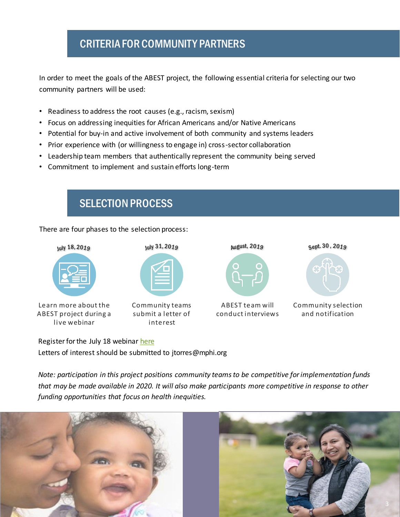## CRITERIA FOR COMMUNITY PARTNERS

In order to meet the goals of the ABEST project, the following essential criteria for selecting our two community partners will be used:

- Readiness to address the root causes (e.g., racism, sexism)
- Focus on addressing inequities for African Americans and/or Native Americans
- Potential for buy-in and active involvement of both community and systems leaders
- Prior experience with (or willingness to engage in) cross-sector collaboration
- Leadership team members that authentically represent the community being served
- Commitment to implement and sustain efforts long-term



Register for the July 18 webinar [here](https://mphi-chc.webex.com/mphi-chc/j.php?RGID=rb0757ec899ac3c6aa55bbe4bceeda54e) Letters of interest should be submitted to itorres@mphi.org

*Note: participation in this project positions community teams to be competitive for implementation funds that may be made available in 2020. It will also make participants more competitive in response to other funding opportunities that focus on health inequities.*